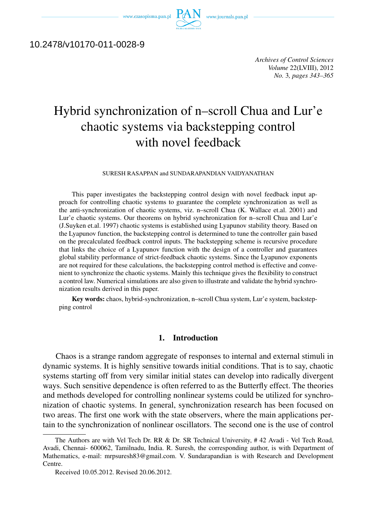www.czasopisma.pan.pl  $P_f$ 



# 10.2478/v10170-011-0028-9

*Archives of Control Sciences Volume* 22(LVIII), 2012 *No.* 3*, pages 343–365*

# Hybrid synchronization of n–scroll Chua and Lur'e chaotic systems via backstepping control with novel feedback

SURESH RASAPPAN and SUNDARAPANDIAN VAIDYANATHAN

This paper investigates the backstepping control design with novel feedback input approach for controlling chaotic systems to guarantee the complete synchronization as well as the anti-synchronization of chaotic systems, viz. n–scroll Chua (K. Wallace et.al. 2001) and Lur'e chaotic systems. Our theorems on hybrid synchronization for n–scroll Chua and Lur'e (J.Suyken et.al. 1997) chaotic systems is established using Lyapunov stability theory. Based on the Lyapunov function, the backstepping control is determined to tune the controller gain based on the precalculated feedback control inputs. The backstepping scheme is recursive procedure that links the choice of a Lyapunov function with the design of a controller and guarantees global stability performance of strict-feedback chaotic systems. Since the Lyapunov exponents are not required for these calculations, the backstepping control method is effective and convenient to synchronize the chaotic systems. Mainly this technique gives the flexibility to construct a control law. Numerical simulations are also given to illustrate and validate the hybrid synchronization results derived in this paper.

Key words: chaos, hybrid-synchronization, n–scroll Chua system, Lur'e system, backstepping control

### 1. Introduction

Chaos is a strange random aggregate of responses to internal and external stimuli in dynamic systems. It is highly sensitive towards initial conditions. That is to say, chaotic systems starting off from very similar initial states can develop into radically divergent ways. Such sensitive dependence is often referred to as the Butterfly effect. The theories and methods developed for controlling nonlinear systems could be utilized for synchronization of chaotic systems. In general, synchronization research has been focused on two areas. The first one work with the state observers, where the main applications pertain to the synchronization of nonlinear oscillators. The second one is the use of control

The Authors are with Vel Tech Dr. RR & Dr. SR Technical University, # 42 Avadi - Vel Tech Road, Avadi, Chennai- 600062, Tamilnadu, India. R. Suresh, the corresponding author, is with Department of Mathematics, e-mail: mrpsuresh83@gmail.com. V. Sundarapandian is with Research and Development Centre.

Received 10.05.2012. Revised 20.06.2012.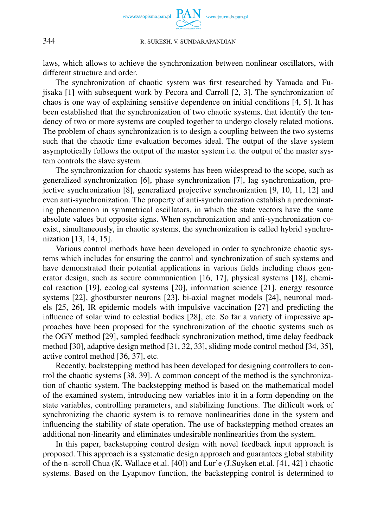

laws, which allows to achieve the synchronization between nonlinear oscillators, with different structure and order.

The synchronization of chaotic system was first researched by Yamada and Fujisaka [1] with subsequent work by Pecora and Carroll [2, 3]. The synchronization of chaos is one way of explaining sensitive dependence on initial conditions [4, 5]. It has been established that the synchronization of two chaotic systems, that identify the tendency of two or more systems are coupled together to undergo closely related motions. The problem of chaos synchronization is to design a coupling between the two systems such that the chaotic time evaluation becomes ideal. The output of the slave system asymptotically follows the output of the master system i.e. the output of the master system controls the slave system.

The synchronization for chaotic systems has been widespread to the scope, such as generalized synchronization [6], phase synchronization [7], lag synchronization, projective synchronization [8], generalized projective synchronization [9, 10, 11, 12] and even anti-synchronization. The property of anti-synchronization establish a predominating phenomenon in symmetrical oscillators, in which the state vectors have the same absolute values but opposite signs. When synchronization and anti-synchronization coexist, simultaneously, in chaotic systems, the synchronization is called hybrid synchronization [13, 14, 15].

Various control methods have been developed in order to synchronize chaotic systems which includes for ensuring the control and synchronization of such systems and have demonstrated their potential applications in various fields including chaos generator design, such as secure communication [16, 17], physical systems [18], chemical reaction [19], ecological systems [20], information science [21], energy resource systems [22], ghostburster neurons [23], bi-axial magnet models [24], neuronal models [25, 26], IR epidemic models with impulsive vaccination [27] and predicting the influence of solar wind to celestial bodies [28], etc. So far a variety of impressive approaches have been proposed for the synchronization of the chaotic systems such as the OGY method [29], sampled feedback synchronization method, time delay feedback method [30], adaptive design method [31, 32, 33], sliding mode control method [34, 35], active control method [36, 37], etc.

Recently, backstepping method has been developed for designing controllers to control the chaotic systems [38, 39]. A common concept of the method is the synchronization of chaotic system. The backstepping method is based on the mathematical model of the examined system, introducing new variables into it in a form depending on the state variables, controlling parameters, and stabilizing functions. The difficult work of synchronizing the chaotic system is to remove nonlinearities done in the system and influencing the stability of state operation. The use of backstepping method creates an additional non-linearity and eliminates undesirable nonlinearities from the system.

In this paper, backstepping control design with novel feedback input approach is proposed. This approach is a systematic design approach and guarantees global stability of the n–scroll Chua (K. Wallace et.al. [40]) and Lur'e (J.Suyken et.al. [41, 42] ) chaotic systems. Based on the Lyapunov function, the backstepping control is determined to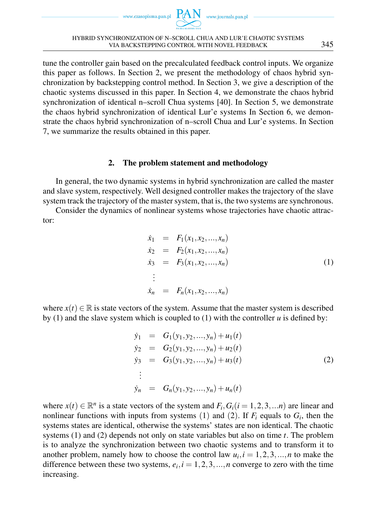www.czasopisma.pan.pl



tune the controller gain based on the precalculated feedback control inputs. We organize this paper as follows. In Section 2, we present the methodology of chaos hybrid synchronization by backstepping control method. In Section 3, we give a description of the chaotic systems discussed in this paper. In Section 4, we demonstrate the chaos hybrid synchronization of identical n–scroll Chua systems [40]. In Section 5, we demonstrate the chaos hybrid synchronization of identical Lur'e systems In Section 6, we demonstrate the chaos hybrid synchronization of n–scroll Chua and Lur'e systems. In Section 7, we summarize the results obtained in this paper.

# 2. The problem statement and methodology

In general, the two dynamic systems in hybrid synchronization are called the master and slave system, respectively. Well designed controller makes the trajectory of the slave system track the trajectory of the master system, that is, the two systems are synchronous.

Consider the dynamics of nonlinear systems whose trajectories have chaotic attractor:

$$
\dot{x}_1 = F_1(x_1, x_2, ..., x_n) \n\dot{x}_2 = F_2(x_1, x_2, ..., x_n) \n\dot{x}_3 = F_3(x_1, x_2, ..., x_n) \n\vdots \n\dot{x}_n = F_n(x_1, x_2, ..., x_n)
$$
\n(1)

where  $x(t) \in \mathbb{R}$  is state vectors of the system. Assume that the master system is described by (1) and the slave system which is coupled to (1) with the controller  $u$  is defined by:

$$
\dot{y}_1 = G_1(y_1, y_2, ..., y_n) + u_1(t) \n\dot{y}_2 = G_2(y_1, y_2, ..., y_n) + u_2(t) \n\dot{y}_3 = G_3(y_1, y_2, ..., y_n) + u_3(t) \n\vdots \n\dot{y}_n = G_n(y_1, y_2, ..., y_n) + u_n(t)
$$
\n(2)

where  $x(t) \in \mathbb{R}^n$  is a state vectors of the system and  $F_i$ ,  $G_i$  ( $i = 1, 2, 3, ...$ *n*) are linear and nonlinear functions with inputs from systems  $(1)$  and  $(2)$ . If  $F_i$  equals to  $G_i$ , then the systems states are identical, otherwise the systems' states are non identical. The chaotic systems (1) and (2) depends not only on state variables but also on time *t*. The problem is to analyze the synchronization between two chaotic systems and to transform it to another problem, namely how to choose the control law  $u_i$ ,  $i = 1, 2, 3, \ldots, n$  to make the difference between these two systems,  $e_i$ ,  $i = 1, 2, 3, \dots, n$  converge to zero with the time increasing.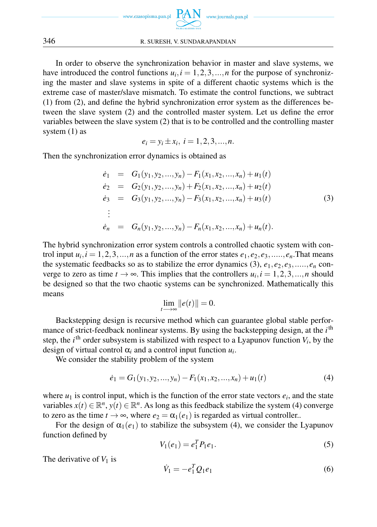

In order to observe the synchronization behavior in master and slave systems, we have introduced the control functions  $u_i$ ,  $i = 1, 2, 3, \ldots, n$  for the purpose of synchronizing the master and slave systems in spite of a different chaotic systems which is the extreme case of master/slave mismatch. To estimate the control functions, we subtract (1) from (2), and define the hybrid synchronization error system as the differences between the slave system (2) and the controlled master system. Let us define the error variables between the slave system (2) that is to be controlled and the controlling master system (1) as

$$
e_i = y_i \pm x_i, i = 1, 2, 3, ..., n.
$$

Then the synchronization error dynamics is obtained as

$$
\dot{e}_1 = G_1(y_1, y_2, ..., y_n) - F_1(x_1, x_2, ..., x_n) + u_1(t) \n\dot{e}_2 = G_2(y_1, y_2, ..., y_n) + F_2(x_1, x_2, ..., x_n) + u_2(t) \n\dot{e}_3 = G_3(y_1, y_2, ..., y_n) - F_3(x_1, x_2, ..., x_n) + u_3(t) \n\vdots \n\dot{e}_n = G_n(y_1, y_2, ..., y_n) - F_n(x_1, x_2, ..., x_n) + u_n(t).
$$
\n(3)

The hybrid synchronization error system controls a controlled chaotic system with control input  $u_i$ ,  $i = 1, 2, 3, \ldots, n$  as a function of the error states  $e_1, e_2, e_3, \ldots, e_n$ . That means the systematic feedbacks so as to stabilize the error dynamics (3),  $e_1, e_2, e_3, \ldots, e_n$  converge to zero as time  $t \to \infty$ . This implies that the controllers  $u_i, i = 1, 2, 3, \ldots, n$  should be designed so that the two chaotic systems can be synchronized. Mathematically this means

$$
\lim_{t\longrightarrow\infty}||e(t)||=0.
$$

Backstepping design is recursive method which can guarantee global stable performance of strict-feedback nonlinear systems. By using the backstepping design, at the *i*<sup>th</sup> step, the  $i<sup>th</sup>$  order subsystem is stabilized with respect to a Lyapunov function  $V_i$ , by the design of virtual control  $\alpha_i$  and a control input function  $u_i$ .

We consider the stability problem of the system

$$
\dot{e}_1 = G_1(y_1, y_2, \dots, y_n) - F_1(x_1, x_2, \dots, x_n) + u_1(t) \tag{4}
$$

where  $u_1$  is control input, which is the function of the error state vectors  $e_i$ , and the state variables  $x(t) \in \mathbb{R}^n$ ,  $y(t) \in \mathbb{R}^n$ . As long as this feedback stabilize the system (4) converge to zero as the time  $t \to \infty$ , where  $e_2 = \alpha_1(e_1)$  is regarded as virtual controller..

For the design of  $\alpha_1(e_1)$  to stabilize the subsystem (4), we consider the Lyapunov function defined by

$$
V_1(e_1) = e_1^T P_1 e_1.
$$
\n(5)

The derivative of  $V_1$  is

$$
\dot{V}_1 = -e_1^T Q_1 e_1 \tag{6}
$$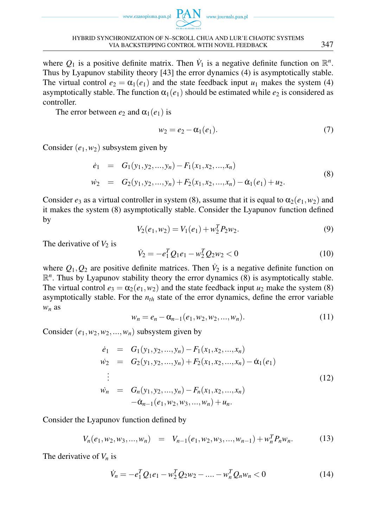



where  $Q_1$  is a positive definite matrix. Then  $\dot{V}_1$  is a negative definite function on  $\mathbb{R}^n$ . Thus by Lyapunov stability theory [43] the error dynamics (4) is asymptotically stable. The virtual control  $e_2 = \alpha_1(e_1)$  and the state feedback input  $u_1$  makes the system (4) asymptotically stable. The function  $\alpha_1(e_1)$  should be estimated while  $e_2$  is considered as controller.

The error between  $e_2$  and  $\alpha_1(e_1)$  is

$$
w_2 = e_2 - \alpha_1(e_1). \tag{7}
$$

Consider  $(e_1, w_2)$  subsystem given by

$$
\dot{e}_1 = G_1(y_1, y_2, ..., y_n) - F_1(x_1, x_2, ..., x_n)
$$
  
\n
$$
\dot{w}_2 = G_2(y_1, y_2, ..., y_n) + F_2(x_1, x_2, ..., x_n) - \dot{\alpha}_1(e_1) + u_2.
$$
\n(8)

Consider  $e_3$  as a virtual controller in system (8), assume that it is equal to  $\alpha_2(e_1, w_2)$  and it makes the system (8) asymptotically stable. Consider the Lyapunov function defined by

$$
V_2(e_1, w_2) = V_1(e_1) + w_2^T P_2 w_2.
$$
\n(9)

The derivative of  $V_2$  is

$$
\dot{V}_2 = -e_1^T Q_1 e_1 - w_2^T Q_2 w_2 < 0 \tag{10}
$$

where  $Q_1, Q_2$  are positive definite matrices. Then  $\dot{V}_2$  is a negative definite function on  $\mathbb{R}^n$ . Thus by Lyapunov stability theory the error dynamics (8) is asymptotically stable. The virtual control  $e_3 = \alpha_2(e_1, w_2)$  and the state feedback input  $u_2$  make the system (8) asymptotically stable. For the *nth* state of the error dynamics, define the error variable *w<sup>n</sup>* as

$$
w_n = e_n - \alpha_{n-1}(e_1, w_2, w_2, ..., w_n).
$$
 (11)

Consider  $(e_1, w_2, w_2, \ldots, w_n)$  subsystem given by

$$
\dot{e}_1 = G_1(y_1, y_2, ..., y_n) - F_1(x_1, x_2, ..., x_n)
$$
\n
$$
\dot{w}_2 = G_2(y_1, y_2, ..., y_n) + F_2(x_1, x_2, ..., x_n) - \dot{\alpha}_1(e_1)
$$
\n
$$
\vdots
$$
\n
$$
\dot{w}_n = G_n(y_1, y_2, ..., y_n) - F_n(x_1, x_2, ..., x_n)
$$
\n
$$
-\dot{\alpha}_{n-1}(e_1, w_2, w_3, ..., w_n) + u_n.
$$
\n(12)

Consider the Lyapunov function defined by

$$
V_n(e_1, w_2, w_3, ..., w_n) = V_{n-1}(e_1, w_2, w_3, ..., w_{n-1}) + w_n^T P_n w_n.
$$
 (13)

The derivative of *V<sup>n</sup>* is

$$
\dot{V}_n = -e_1^T Q_1 e_1 - w_2^T Q_2 w_2 - \dots - w_n^T Q_n w_n < 0 \tag{14}
$$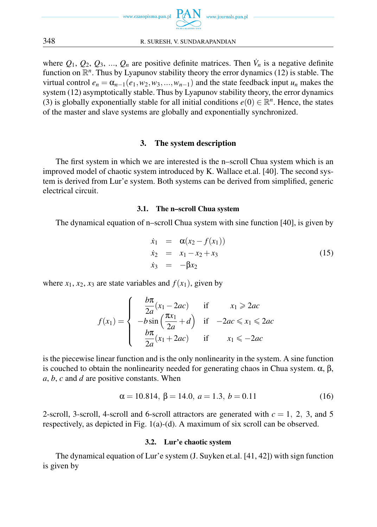

where  $Q_1, Q_2, Q_3, ..., Q_n$  are positive definite matrices. Then  $\dot{V}_n$  is a negative definite function on  $\mathbb{R}^n$ . Thus by Lyapunov stability theory the error dynamics (12) is stable. The virtual control  $e_n = \alpha_{n-1}(e_1, w_2, w_3, \ldots, w_{n-1})$  and the state feedback input  $u_n$  makes the system (12) asymptotically stable. Thus by Lyapunov stability theory, the error dynamics (3) is globally exponentially stable for all initial conditions  $e(0) \in \mathbb{R}^n$ . Hence, the states of the master and slave systems are globally and exponentially synchronized.

### 3. The system description

The first system in which we are interested is the n–scroll Chua system which is an improved model of chaotic system introduced by K. Wallace et.al. [40]. The second system is derived from Lur'e system. Both systems can be derived from simplified, generic electrical circuit.

### 3.1. The n–scroll Chua system

The dynamical equation of n–scroll Chua system with sine function [40], is given by

$$
\dot{x}_1 = \alpha(x_2 - f(x_1)) \n\dot{x}_2 = x_1 - x_2 + x_3 \n\dot{x}_3 = -\beta x_2
$$
\n(15)

where  $x_1, x_2, x_3$  are state variables and  $f(x_1)$ , given by

$$
f(x_1) = \begin{cases} \frac{b\pi}{2a}(x_1 - 2ac) & \text{if } x_1 \geq 2ac\\ -b\sin\left(\frac{\pi x_1}{2a} + d\right) & \text{if } -2ac \leq x_1 \leq 2ac\\ \frac{b\pi}{2a}(x_1 + 2ac) & \text{if } x_1 \leq -2ac \end{cases}
$$

is the piecewise linear function and is the only nonlinearity in the system. A sine function is couched to obtain the nonlinearity needed for generating chaos in Chua system.  $\alpha$ ,  $\beta$ , *a*, *b*, *c* and *d* are positive constants. When

$$
\alpha = 10.814, \beta = 14.0, a = 1.3, b = 0.11
$$
 (16)

2-scroll, 3-scroll, 4-scroll and 6-scroll attractors are generated with  $c = 1, 2, 3$ , and 5 respectively, as depicted in Fig. 1(a)-(d). A maximum of six scroll can be observed.

### 3.2. Lur'e chaotic system

The dynamical equation of Lur'e system (J. Suyken et.al. [41, 42]) with sign function is given by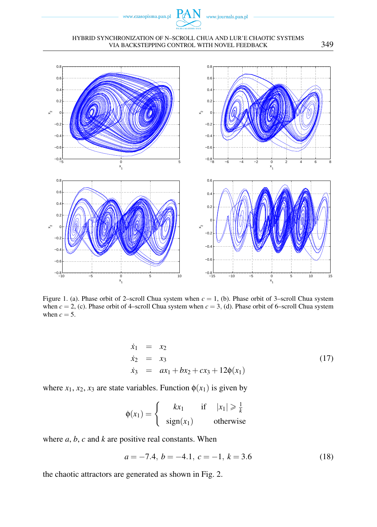

#### HYBRID SYNCHRONIZATION OF N–SCROLL CHUA AND LUR'E CHAOTIC SYSTEMS VIA BACKSTEPPING CONTROL WITH NOVEL FEEDBACK 349



Figure 1. (a). Phase orbit of 2–scroll Chua system when *c* = 1, (b). Phase orbit of 3–scroll Chua system when  $c = 2$ , (c). Phase orbit of 4–scroll Chua system when  $c = 3$ , (d). Phase orbit of 6–scroll Chua system when  $c = 5$ .

$$
\dot{x}_1 = x_2 \n\dot{x}_2 = x_3 \n\dot{x}_3 = ax_1 + bx_2 + cx_3 + 12\phi(x_1)
$$
\n(17)

where  $x_1, x_2, x_3$  are state variables. Function  $\phi(x_1)$  is given by

$$
\phi(x_1) = \begin{cases}\n kx_1 & \text{if } |x_1| \ge \frac{1}{k} \\
 sign(x_1) & otherwise\n\end{cases}
$$

where *a*, *b*, *c* and *k* are positive real constants. When

$$
a = -7.4, b = -4.1, c = -1, k = 3.6
$$
 (18)

the chaotic attractors are generated as shown in Fig. 2.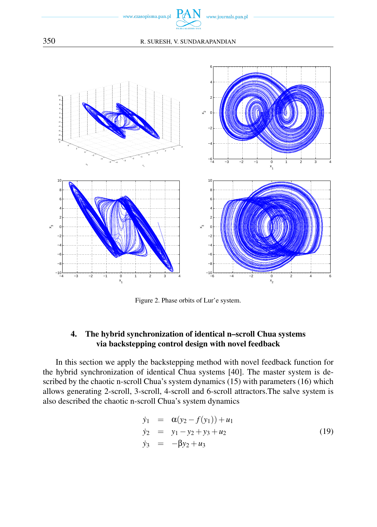



Figure 2. Phase orbits of Lur'e system.

# 4. The hybrid synchronization of identical n–scroll Chua systems via backstepping control design with novel feedback

In this section we apply the backstepping method with novel feedback function for the hybrid synchronization of identical Chua systems [40]. The master system is described by the chaotic n-scroll Chua's system dynamics (15) with parameters (16) which allows generating 2-scroll, 3-scroll, 4-scroll and 6-scroll attractors.The salve system is also described the chaotic n-scroll Chua's system dynamics

$$
\begin{array}{rcl}\n\dot{y}_1 & = & \alpha(y_2 - f(y_1)) + u_1 \\
\dot{y}_2 & = & y_1 - y_2 + y_3 + u_2 \\
\dot{y}_3 & = & -\beta y_2 + u_3\n\end{array}\n\tag{19}
$$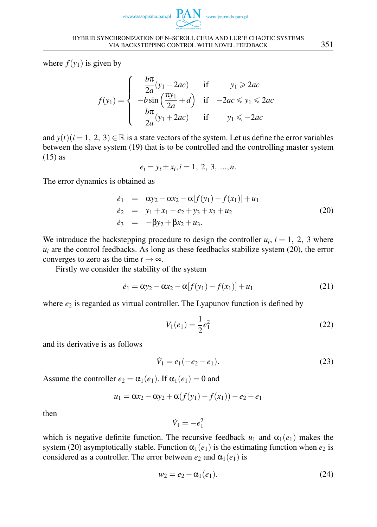www.czasopisma.pan.pl



where  $f(y_1)$  is given by

$$
f(y_1) = \begin{cases} \frac{b\pi}{2a}(y_1 - 2ac) & \text{if } y_1 \geq 2ac\\ -b\sin\left(\frac{\pi y_1}{2a} + d\right) & \text{if } -2ac \leq y_1 \leq 2ac\\ \frac{b\pi}{2a}(y_1 + 2ac) & \text{if } y_1 \leq -2ac \end{cases}
$$

and  $y(t)$ ( $i = 1, 2, 3$ )  $\in \mathbb{R}$  is a state vectors of the system. Let us define the error variables between the slave system (19) that is to be controlled and the controlling master system (15) as

$$
e_i = y_i \pm x_i, i = 1, 2, 3, ..., n.
$$

The error dynamics is obtained as

$$
\dot{e}_1 = \alpha y_2 - \alpha x_2 - \alpha [f(y_1) - f(x_1)] + u_1 \n\dot{e}_2 = y_1 + x_1 - e_2 + y_3 + x_3 + u_2 \n\dot{e}_3 = -\beta y_2 + \beta x_2 + u_3.
$$
\n(20)

We introduce the backstepping procedure to design the controller  $u_i$ ,  $i = 1, 2, 3$  where  $u_i$  are the control feedbacks. As long as these feedbacks stabilize system (20), the error converges to zero as the time  $t \to \infty$ .

Firstly we consider the stability of the system

$$
\dot{e}_1 = \alpha y_2 - \alpha x_2 - \alpha [f(y_1) - f(x_1)] + u_1 \tag{21}
$$

where  $e_2$  is regarded as virtual controller. The Lyapunov function is defined by

$$
V_1(e_1) = \frac{1}{2}e_1^2\tag{22}
$$

and its derivative is as follows

$$
\dot{V}_1 = e_1(-e_2 - e_1). \tag{23}
$$

Assume the controller  $e_2 = \alpha_1(e_1)$ . If  $\alpha_1(e_1) = 0$  and

$$
u_1 = \alpha x_2 - \alpha y_2 + \alpha (f(y_1) - f(x_1)) - e_2 - e_1
$$

then

$$
\dot{V}_1 = -e_1^2
$$

which is negative definite function. The recursive feedback  $u_1$  and  $\alpha_1(e_1)$  makes the system (20) asymptotically stable. Function  $\alpha_1(e_1)$  is the estimating function when  $e_2$  is considered as a controller. The error between  $e_2$  and  $\alpha_1(e_1)$  is

$$
w_2 = e_2 - \alpha_1(e_1). \tag{24}
$$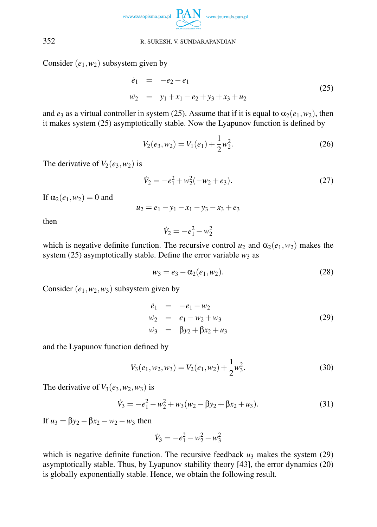

Consider (*e*1*,w*2) subsystem given by

$$
\dot{e}_1 = -e_2 - e_1
$$
  
\n
$$
\dot{w}_2 = y_1 + x_1 - e_2 + y_3 + x_3 + u_2
$$
\n(25)

and  $e_3$  as a virtual controller in system (25). Assume that if it is equal to  $\alpha_2(e_1, w_2)$ , then it makes system (25) asymptotically stable. Now the Lyapunov function is defined by

$$
V_2(e_3, w_2) = V_1(e_1) + \frac{1}{2}w_2^2.
$$
 (26)

The derivative of  $V_2(e_3, w_2)$  is

$$
\dot{V}_2 = -e_1^2 + w_2^2(-w_2 + e_3). \tag{27}
$$

If  $\alpha_2(e_1, w_2) = 0$  and

 $u_2 = e_1 - y_1 - x_1 - y_3 - x_3 + e_3$ 

then

$$
\dot{V}_2 = -e_1^2 - w_2^2
$$

which is negative definite function. The recursive control  $u_2$  and  $\alpha_2(e_1, w_2)$  makes the system  $(25)$  asymptotically stable. Define the error variable  $w_3$  as

$$
w_3 = e_3 - \alpha_2(e_1, w_2). \tag{28}
$$

Consider  $(e_1, w_2, w_3)$  subsystem given by

$$
\begin{array}{rcl}\n\dot{e}_1 &=& -e_1 - w_2 \\
\dot{w}_2 &=& e_1 - w_2 + w_3 \\
\dot{w}_3 &=& \beta y_2 + \beta x_2 + u_3\n\end{array} \tag{29}
$$

and the Lyapunov function defined by

$$
V_3(e_1, w_2, w_3) = V_2(e_1, w_2) + \frac{1}{2}w_3^2.
$$
 (30)

The derivative of  $V_3(e_3, w_2, w_3)$  is

$$
\dot{V}_3 = -e_1^2 - w_2^2 + w_3(w_2 - \beta y_2 + \beta x_2 + u_3). \tag{31}
$$

If  $u_3 = βy_2 - βx_2 - w_2 - w_3$  then

$$
\dot{V}_3 = -e_1^2 - w_2^2 - w_3^2
$$

which is negative definite function. The recursive feedback  $u_3$  makes the system (29) asymptotically stable. Thus, by Lyapunov stability theory [43], the error dynamics (20) is globally exponentially stable. Hence, we obtain the following result.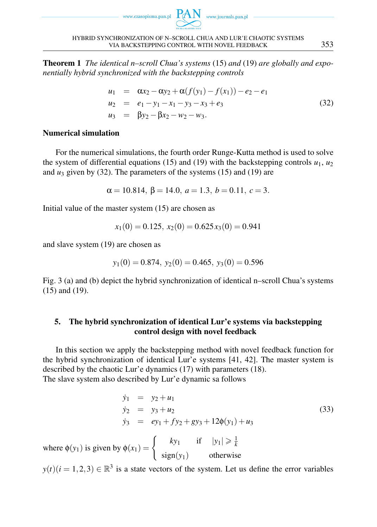



Theorem 1 *The identical n–scroll Chua's systems* (15) *and* (19) *are globally and exponentially hybrid synchronized with the backstepping controls*

$$
u_1 = \alpha x_2 - \alpha y_2 + \alpha (f(y_1) - f(x_1)) - e_2 - e_1
$$
  
\n
$$
u_2 = e_1 - y_1 - x_1 - y_3 - x_3 + e_3
$$
  
\n
$$
u_3 = \beta y_2 - \beta x_2 - w_2 - w_3.
$$
\n(32)

# Numerical simulation

For the numerical simulations, the fourth order Runge-Kutta method is used to solve the system of differential equations (15) and (19) with the backstepping controls  $u_1, u_2$ and  $u_3$  given by (32). The parameters of the systems (15) and (19) are

$$
\alpha = 10.814, \beta = 14.0, a = 1.3, b = 0.11, c = 3.
$$

Initial value of the master system (15) are chosen as

$$
x_1(0) = 0.125, x_2(0) = 0.625x_3(0) = 0.941
$$

and slave system (19) are chosen as

$$
y_1(0) = 0.874
$$
,  $y_2(0) = 0.465$ ,  $y_3(0) = 0.596$ 

Fig. 3 (a) and (b) depict the hybrid synchronization of identical n–scroll Chua's systems (15) and (19).

# 5. The hybrid synchronization of identical Lur'e systems via backstepping control design with novel feedback

In this section we apply the backstepping method with novel feedback function for the hybrid synchronization of identical Lur'e systems [41, 42]. The master system is described by the chaotic Lur'e dynamics (17) with parameters (18). The slave system also described by Lur'e dynamic sa follows

$$
\dot{y}_1 = y_2 + u_1 \n\dot{y}_2 = y_3 + u_2 \n\dot{y}_3 = ey_1 + fy_2 + gy_3 + 12\phi(y_1) + u_3 \n\text{by } \phi(x_1) = \begin{cases}\n\frac{ky_1}{y_1} & \text{if } |y_1| \geq \frac{1}{k}\n\end{cases}
$$
\n(33)

where  $\phi(y_1)$  is given  $\int$  sign( $y_1$ ) otherwise

 $y(t)(i = 1, 2, 3) \in \mathbb{R}^3$  is a state vectors of the system. Let us define the error variables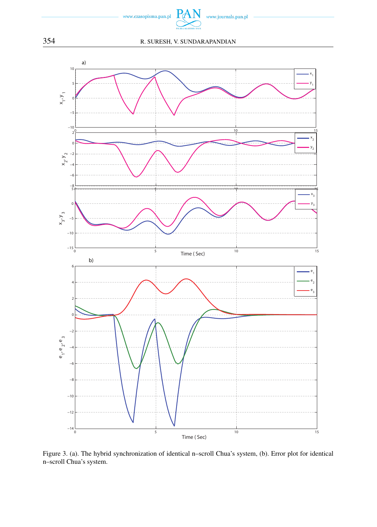



Figure 3. (a). The hybrid synchronization of identical n–scroll Chua's system, (b). Error plot for identical n–scroll Chua's system.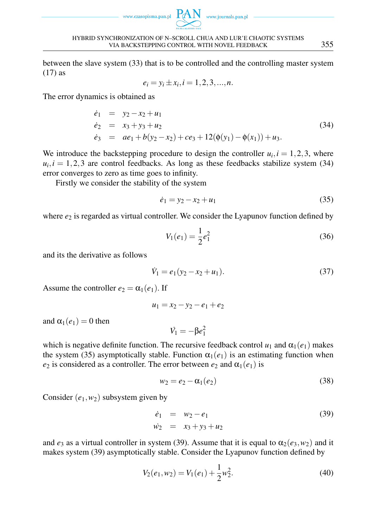www.czasopisma.pan.pl



HYBRID SYNCHRONIZATION OF N–SCROLL CHUA AND LUR'E CHAOTIC SYSTEMS VIA BACKSTEPPING CONTROL WITH NOVEL FEEDBACK 355

between the slave system (33) that is to be controlled and the controlling master system (17) as

$$
e_i = y_i \pm x_i, i = 1, 2, 3, ..., n.
$$

The error dynamics is obtained as

$$
\begin{array}{rcl}\n\dot{e}_1 & = & y_2 - x_2 + u_1 \\
\dot{e}_2 & = & x_3 + y_3 + u_2 \\
\dot{e}_3 & = & ae_1 + b(y_2 - x_2) + ce_3 + 12(\phi(y_1) - \phi(x_1)) + u_3.\n\end{array} \tag{34}
$$

We introduce the backstepping procedure to design the controller  $u_i$ ,  $i = 1, 2, 3$ , where  $u_i, i = 1, 2, 3$  are control feedbacks. As long as these feedbacks stabilize system (34) error converges to zero as time goes to infinity.

Firstly we consider the stability of the system

$$
\dot{e}_1 = y_2 - x_2 + u_1 \tag{35}
$$

where  $e_2$  is regarded as virtual controller. We consider the Lyapunov function defined by

$$
V_1(e_1) = \frac{1}{2}e_1^2\tag{36}
$$

and its the derivative as follows

$$
\dot{V}_1 = e_1(y_2 - x_2 + u_1). \tag{37}
$$

Assume the controller  $e_2 = \alpha_1(e_1)$ . If

$$
u_1 = x_2 - y_2 - e_1 + e_2
$$

and  $\alpha_1(e_1) = 0$  then

$$
\dot{V_1}=-\beta e_1^2
$$

which is negative definite function. The recursive feedback control  $u_1$  and  $\alpha_1(e_1)$  makes the system (35) asymptotically stable. Function  $\alpha_1(e_1)$  is an estimating function when *e*<sub>2</sub> is considered as a controller. The error between  $e_2$  and  $\alpha_1(e_1)$  is

$$
w_2 = e_2 - \alpha_1(e_2) \tag{38}
$$

Consider  $(e_1, w_2)$  subsystem given by

$$
\dot{e}_1 = w_2 - e_1 \n\dot{w}_2 = x_3 + y_3 + u_2
$$
\n(39)

and  $e_3$  as a virtual controller in system (39). Assume that it is equal to  $\alpha_2(e_3, w_2)$  and it makes system (39) asymptotically stable. Consider the Lyapunov function defined by

$$
V_2(e_1, w_2) = V_1(e_1) + \frac{1}{2}w_2^2.
$$
\n(40)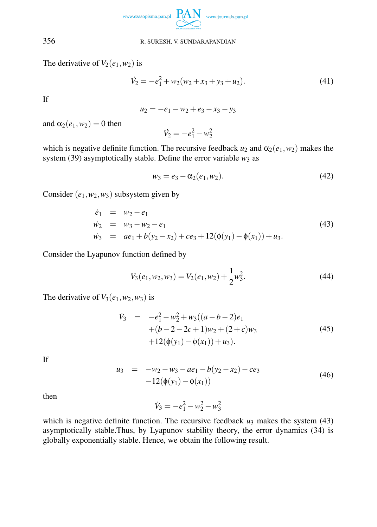

The derivative of  $V_2(e_1, w_2)$  is

$$
\dot{V}_2 = -e_1^2 + w_2(w_2 + x_3 + y_3 + u_2). \tag{41}
$$

If

 $u_2 = -e_1 - w_2 + e_3 - x_3 - y_3$ 

and  $\alpha_2(e_1, w_2) = 0$  then

$$
\dot{V_2} = -e_1^2 - w_2^2
$$

which is negative definite function. The recursive feedback  $u_2$  and  $\alpha_2(e_1, w_2)$  makes the system (39) asymptotically stable. Define the error variable  $w_3$  as

$$
w_3 = e_3 - \alpha_2(e_1, w_2). \tag{42}
$$

Consider  $(e_1, w_2, w_3)$  subsystem given by

$$
\begin{array}{rcl}\n\dot{e}_1 & = & w_2 - e_1 \\
\dot{w}_2 & = & w_3 - w_2 - e_1 \\
\dot{w}_3 & = & ae_1 + b(y_2 - x_2) + ce_3 + 12(\phi(y_1) - \phi(x_1)) + u_3.\n\end{array} \tag{43}
$$

Consider the Lyapunov function defined by

$$
V_3(e_1, w_2, w_3) = V_2(e_1, w_2) + \frac{1}{2}w_3^2.
$$
 (44)

The derivative of  $V_3(e_1, w_2, w_3)$  is

$$
\dot{V}_3 = -e_1^2 - w_2^2 + w_3((a - b - 2)e_1 \n+ (b - 2 - 2c + 1)w_2 + (2 + c)w_3 \n+ 12(\phi(y_1) - \phi(x_1)) + u_3).
$$
\n(45)

If

$$
u_3 = -w_2 - w_3 - ae_1 - b(y_2 - x_2) - ce_3 -12(\phi(y_1) - \phi(x_1))
$$
\n(46)

then

$$
\dot{V}_3 = -e_1^2 - w_2^2 - w_3^2
$$

which is negative definite function. The recursive feedback  $u_3$  makes the system (43) asymptotically stable.Thus, by Lyapunov stability theory, the error dynamics (34) is globally exponentially stable. Hence, we obtain the following result.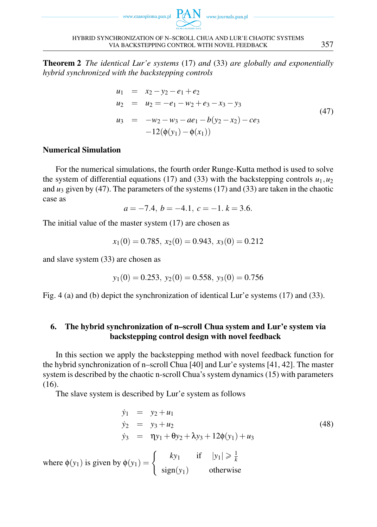



Theorem 2 *The identical Lur'e systems* (17) *and* (33) *are globally and exponentially hybrid synchronized with the backstepping controls*

$$
u_1 = x_2 - y_2 - e_1 + e_2
$$
  
\n
$$
u_2 = u_2 = -e_1 - w_2 + e_3 - x_3 - y_3
$$
  
\n
$$
u_3 = -w_2 - w_3 - ae_1 - b(y_2 - x_2) - ce_3
$$
  
\n
$$
-12(\phi(y_1) - \phi(x_1))
$$
\n(47)

# Numerical Simulation

For the numerical simulations, the fourth order Runge-Kutta method is used to solve the system of differential equations (17) and (33) with the backstepping controls  $u_1, u_2$ and  $u_3$  given by (47). The parameters of the systems (17) and (33) are taken in the chaotic case as

$$
a = -7.4
$$
,  $b = -4.1$ ,  $c = -1$ .  $k = 3.6$ .

The initial value of the master system (17) are chosen as

$$
x_1(0) = 0.785, x_2(0) = 0.943, x_3(0) = 0.212
$$

and slave system (33) are chosen as

$$
y_1(0) = 0.253
$$
,  $y_2(0) = 0.558$ ,  $y_3(0) = 0.756$ 

Fig. 4 (a) and (b) depict the synchronization of identical Lur'e systems (17) and (33).

# 6. The hybrid synchronization of n–scroll Chua system and Lur'e system via backstepping control design with novel feedback

In this section we apply the backstepping method with novel feedback function for the hybrid synchronization of n–scroll Chua [40] and Lur'e systems [41, 42]. The master system is described by the chaotic n-scroll Chua's system dynamics (15) with parameters (16).

The slave system is described by Lur'e system as follows

$$
\dot{y}_1 = y_2 + u_1
$$
  
\n
$$
\dot{y}_2 = y_3 + u_2
$$
  
\n
$$
\dot{y}_3 = \eta y_1 + \theta y_2 + \lambda y_3 + 12\phi(y_1) + u_3
$$
  
\nwhere  $\phi(y_1)$  is given by  $\phi(y_1) = \begin{cases} ky_1 & \text{if } |y_1| \geq \frac{1}{k} \\ sign(y_1) & \text{otherwise} \end{cases}$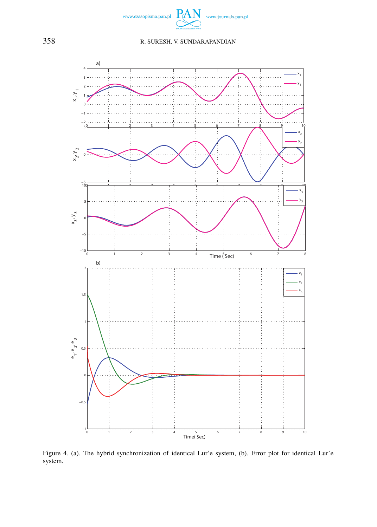



Figure 4. (a). The hybrid synchronization of identical Lur'e system, (b). Error plot for identical Lur'e system.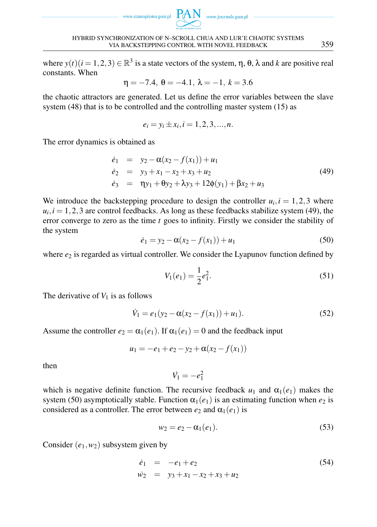



HYBRID SYNCHRONIZATION OF N–SCROLL CHUA AND LUR'E CHAOTIC SYSTEMS VIA BACKSTEPPING CONTROL WITH NOVEL FEEDBACK 359

where  $y(t)$  ( $i = 1, 2, 3$ )  $\in \mathbb{R}^3$  is a state vectors of the system,  $\eta$ ,  $\theta$ ,  $\lambda$  and  $k$  are positive real constants. When

$$
\eta = -7.4, \ \theta = -4.1, \ \lambda = -1, \ k = 3.6
$$

the chaotic attractors are generated. Let us define the error variables between the slave system (48) that is to be controlled and the controlling master system (15) as

$$
e_i = y_i \pm x_i, i = 1, 2, 3, ..., n.
$$

The error dynamics is obtained as

$$
\begin{array}{rcl}\n\dot{e}_1 & = & y_2 - \alpha(x_2 - f(x_1)) + u_1 \\
\dot{e}_2 & = & y_3 + x_1 - x_2 + x_3 + u_2 \\
\dot{e}_3 & = & \eta y_1 + \theta y_2 + \lambda y_3 + 12\phi(y_1) + \beta x_2 + u_3\n\end{array} \tag{49}
$$

We introduce the backstepping procedure to design the controller  $u_i$ ,  $i = 1, 2, 3$  where  $u_i$ ,  $i = 1, 2, 3$  are control feedbacks. As long as these feedbacks stabilize system (49), the error converge to zero as the time *t* goes to infinity. Firstly we consider the stability of the system

$$
\dot{e}_1 = y_2 - \alpha(x_2 - f(x_1)) + u_1 \tag{50}
$$

where  $e_2$  is regarded as virtual controller. We consider the Lyapunov function defined by

$$
V_1(e_1) = \frac{1}{2}e_1^2.
$$
\n(51)

The derivative of  $V_1$  is as follows

$$
\dot{V}_1 = e_1(y_2 - \alpha(x_2 - f(x_1)) + u_1). \tag{52}
$$

Assume the controller  $e_2 = \alpha_1(e_1)$ . If  $\alpha_1(e_1) = 0$  and the feedback input

 $u_1 = -e_1 + e_2 - y_2 + \alpha(x_2 - f(x_1))$ 

then

$$
\dot{V}_1 = -e_1^2
$$

which is negative definite function. The recursive feedback  $u_1$  and  $\alpha_1(e_1)$  makes the system (50) asymptotically stable. Function  $\alpha_1(e_1)$  is an estimating function when  $e_2$  is considered as a controller. The error between  $e_2$  and  $\alpha_1(e_1)$  is

$$
w_2 = e_2 - \alpha_1(e_1). \tag{53}
$$

Consider  $(e_1, w_2)$  subsystem given by

$$
\begin{array}{rcl}\n\dot{e}_1 & = & -e_1 + e_2 \\
\dot{w}_2 & = & y_3 + x_1 - x_2 + x_3 + u_2\n\end{array}\n\tag{54}
$$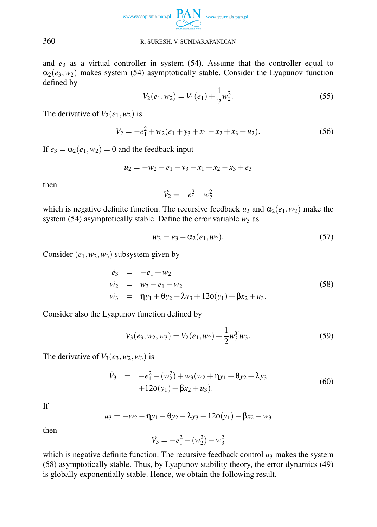

and *e*<sup>3</sup> as a virtual controller in system (54). Assume that the controller equal to  $\alpha_2(e_3, w_2)$  makes system (54) asymptotically stable. Consider the Lyapunov function defined by

$$
V_2(e_1, w_2) = V_1(e_1) + \frac{1}{2}w_2^2.
$$
 (55)

The derivative of  $V_2(e_1, w_2)$  is

$$
\dot{V}_2 = -e_1^2 + w_2(e_1 + y_3 + x_1 - x_2 + x_3 + u_2). \tag{56}
$$

If  $e_3 = \alpha_2(e_1, w_2) = 0$  and the feedback input

$$
u_2 = -w_2 - e_1 - y_3 - x_1 + x_2 - x_3 + e_3
$$

then

$$
\dot{V}_2 = -e_1^2 - w_2^2
$$

which is negative definite function. The recursive feedback  $u_2$  and  $\alpha_2(e_1, w_2)$  make the system (54) asymptotically stable. Define the error variable  $w_3$  as

$$
w_3 = e_3 - \alpha_2(e_1, w_2). \tag{57}
$$

Consider  $(e_1, w_2, w_3)$  subsystem given by

$$
\begin{array}{rcl}\n\dot{e}_3 & = & -e_1 + w_2 \\
\dot{w}_2 & = & w_3 - e_1 - w_2 \\
\dot{w}_3 & = & \eta y_1 + \theta y_2 + \lambda y_3 + 12\phi(y_1) + \beta x_2 + u_3.\n\end{array} \tag{58}
$$

Consider also the Lyapunov function defined by

$$
V_3(e_3, w_2, w_3) = V_2(e_1, w_2) + \frac{1}{2} w_3^T w_3.
$$
\n(59)

The derivative of  $V_3(e_3, w_2, w_3)$  is

$$
\dot{V}_3 = -e_1^2 - (w_2^2) + w_3(w_2 + \eta y_1 + \theta y_2 + \lambda y_3 + 12\phi(y_1) + \beta x_2 + u_3).
$$
\n(60)

If

$$
u_3 = -w_2 - \eta y_1 - \theta y_2 - \lambda y_3 - 12\phi(y_1) - \beta x_2 - w_3
$$

then

$$
\dot{V}_3 = -e_1^2 - (w_2^2) - w_3^2
$$

which is negative definite function. The recursive feedback control  $u_3$  makes the system (58) asymptotically stable. Thus, by Lyapunov stability theory, the error dynamics (49) is globally exponentially stable. Hence, we obtain the following result.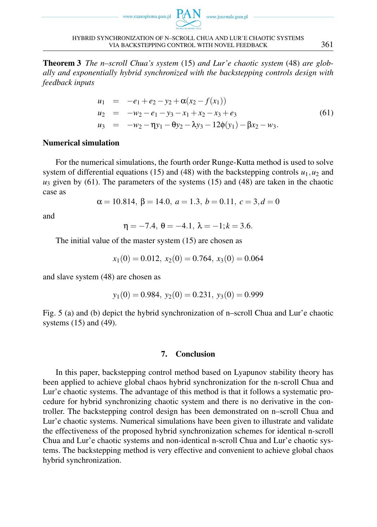



Theorem 3 *The n–scroll Chua's system* (15) *and Lur'e chaotic system* (48) *are globally and exponentially hybrid synchronized with the backstepping controls design with feedback inputs*

$$
u_1 = -e_1 + e_2 - y_2 + \alpha(x_2 - f(x_1))
$$
  
\n
$$
u_2 = -w_2 - e_1 - y_3 - x_1 + x_2 - x_3 + e_3
$$
  
\n
$$
u_3 = -w_2 - \eta y_1 - \theta y_2 - \lambda y_3 - 12\phi(y_1) - \beta x_2 - w_3.
$$
\n(61)

### Numerical simulation

For the numerical simulations, the fourth order Runge-Kutta method is used to solve system of differential equations (15) and (48) with the backstepping controls  $u_1, u_2$  and  $u_3$  given by (61). The parameters of the systems (15) and (48) are taken in the chaotic case as

$$
\alpha = 10.814, \beta = 14.0, a = 1.3, b = 0.11, c = 3, d = 0
$$

and

 $\eta = -7.4, \ \theta = -4.1, \ \lambda = -1; k = 3.6.$ 

The initial value of the master system (15) are chosen as

$$
x_1(0) = 0.012, x_2(0) = 0.764, x_3(0) = 0.064
$$

and slave system (48) are chosen as

$$
y_1(0) = 0.984
$$
,  $y_2(0) = 0.231$ ,  $y_3(0) = 0.999$ 

Fig. 5 (a) and (b) depict the hybrid synchronization of n–scroll Chua and Lur'e chaotic systems (15) and (49).

### 7. Conclusion

In this paper, backstepping control method based on Lyapunov stability theory has been applied to achieve global chaos hybrid synchronization for the n-scroll Chua and Lur'e chaotic systems. The advantage of this method is that it follows a systematic procedure for hybrid synchronizing chaotic system and there is no derivative in the controller. The backstepping control design has been demonstrated on n–scroll Chua and Lur'e chaotic systems. Numerical simulations have been given to illustrate and validate the effectiveness of the proposed hybrid synchronization schemes for identical n-scroll Chua and Lur'e chaotic systems and non-identical n-scroll Chua and Lur'e chaotic systems. The backstepping method is very effective and convenient to achieve global chaos hybrid synchronization.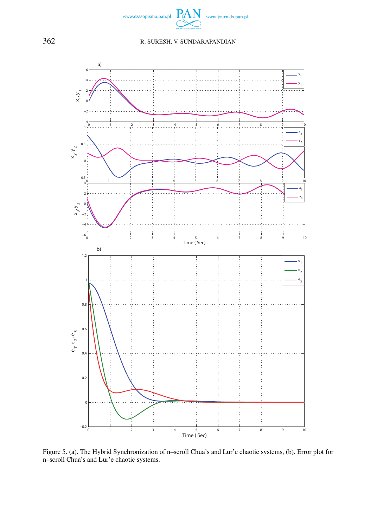



Figure 5. (a). The Hybrid Synchronization of n–scroll Chua's and Lur'e chaotic systems, (b). Error plot for n–scroll Chua's and Lur'e chaotic systems.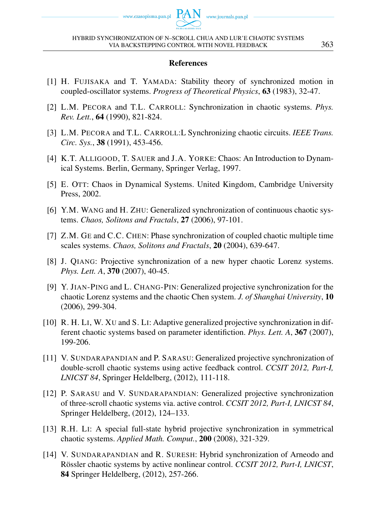### References

- [1] H. FUJISAKA and T. YAMADA: Stability theory of synchronized motion in coupled-oscillator systems. *Progress of Theoretical Physics*, 63 (1983), 32-47.
- [2] L.M. PECORA and T.L. CARROLL: Synchronization in chaotic systems. *Phys. Rev. Lett.*, 64 (1990), 821-824.
- [3] L.M. PECORA and T.L. CARROLL:L Synchronizing chaotic circuits. *IEEE Trans. Circ. Sys.*, 38 (1991), 453-456.
- [4] K.T. ALLIGOOD, T. SAUER and J.A. YORKE: Chaos: An Introduction to Dynamical Systems. Berlin, Germany, Springer Verlag, 1997.
- [5] E. OTT: Chaos in Dynamical Systems. United Kingdom, Cambridge University Press, 2002.
- [6] Y.M. WANG and H. ZHU: Generalized synchronization of continuous chaotic systems. *Chaos, Solitons and Fractals*, 27 (2006), 97-101.
- [7] Z.M. GE and C.C. CHEN: Phase synchronization of coupled chaotic multiple time scales systems. *Chaos, Solitons and Fractals*, 20 (2004), 639-647.
- [8] J. QIANG: Projective synchronization of a new hyper chaotic Lorenz systems. *Phys. Lett. A*, 370 (2007), 40-45.
- [9] Y. JIAN-PING and L. CHANG-PIN: Generalized projective synchronization for the chaotic Lorenz systems and the chaotic Chen system. *J. of Shanghai University*, 10 (2006), 299-304.
- [10] R. H. LI, W. XU and S. LI: Adaptive generalized projective synchronization in different chaotic systems based on parameter identifiction. *Phys. Lett. A*, 367 (2007), 199-206.
- [11] V. SUNDARAPANDIAN and P. SARASU: Generalized projective synchronization of double-scroll chaotic systems using active feedback control. *CCSIT 2012, Part-I, LNICST 84*, Springer Heldelberg, (2012), 111-118.
- [12] P. SARASU and V. SUNDARAPANDIAN: Generalized projective synchronization of three-scroll chaotic systems via. active control. *CCSIT 2012, Part-I, LNICST 84*, Springer Heldelberg, (2012), 124–133.
- [13] R.H. LI: A special full-state hybrid projective synchronization in symmetrical chaotic systems. *Applied Math. Comput.*, 200 (2008), 321-329.
- [14] V. SUNDARAPANDIAN and R. SURESH: Hybrid synchronization of Arneodo and Rössler chaotic systems by active nonlinear control. *CCSIT 2012, Part-I, LNICST*, 84 Springer Heldelberg, (2012), 257-266.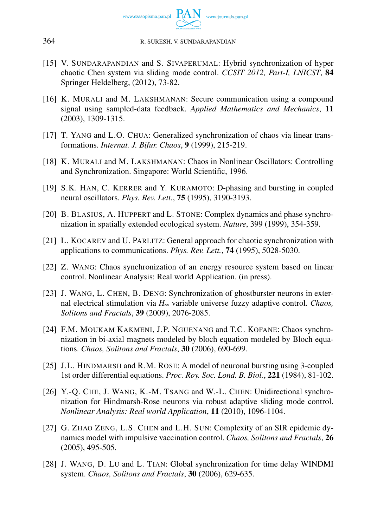

- [15] V. SUNDARAPANDIAN and S. SIVAPERUMAL: Hybrid synchronization of hyper chaotic Chen system via sliding mode control. *CCSIT 2012, Part-I, LNICST*, 84 Springer Heldelberg, (2012), 73-82.
- [16] K. MURALI and M. LAKSHMANAN: Secure communication using a compound signal using sampled-data feedback. *Applied Mathematics and Mechanics*, 11 (2003), 1309-1315.
- [17] T. YANG and L.O. CHUA: Generalized synchronization of chaos via linear transformations. *Internat. J. Bifur. Chaos*, 9 (1999), 215-219.
- [18] K. MURALI and M. LAKSHMANAN: Chaos in Nonlinear Oscillators: Controlling and Synchronization. Singapore: World Scientific, 1996.
- [19] S.K. HAN, C. KERRER and Y. KURAMOTO: D-phasing and bursting in coupled neural oscillators. *Phys. Rev. Lett.*, 75 (1995), 3190-3193.
- [20] B. BLASIUS, A. HUPPERT and L. STONE: Complex dynamics and phase synchronization in spatially extended ecological system. *Nature*, 399 (1999), 354-359.
- [21] L. KOCAREV and U. PARLITZ: General approach for chaotic synchronization with applications to communications. *Phys. Rev. Lett.*, 74 (1995), 5028-5030.
- [22] Z. WANG: Chaos synchronization of an energy resource system based on linear control. Nonlinear Analysis: Real world Application. (in press).
- [23] J. WANG, L. CHEN, B. DENG: Synchronization of ghostburster neurons in external electrical stimulation via *H*<sup>∞</sup> variable universe fuzzy adaptive control. *Chaos, Solitons and Fractals*, 39 (2009), 2076-2085.
- [24] F.M. MOUKAM KAKMENI, J.P. NGUENANG and T.C. KOFANE: Chaos synchronization in bi-axial magnets modeled by bloch equation modeled by Bloch equations. *Chaos, Solitons and Fractals*, 30 (2006), 690-699.
- [25] J.L. HINDMARSH and R.M. ROSE: A model of neuronal bursting using 3-coupled 1st order differential equations. *Proc. Roy. Soc. Lond. B. Biol.*, 221 (1984), 81-102.
- [26] Y.-Q. CHE, J. WANG, K.-M. TSANG and W.-L. CHEN: Unidirectional synchronization for Hindmarsh-Rose neurons via robust adaptive sliding mode control. *Nonlinear Analysis: Real world Application*, 11 (2010), 1096-1104.
- [27] G. ZHAO ZENG, L.S. CHEN and L.H. SUN: Complexity of an SIR epidemic dynamics model with impulsive vaccination control. *Chaos, Solitons and Fractals*, 26 (2005), 495-505.
- [28] J. WANG, D. LU and L. TIAN: Global synchronization for time delay WINDMI system. *Chaos, Solitons and Fractals*, 30 (2006), 629-635.